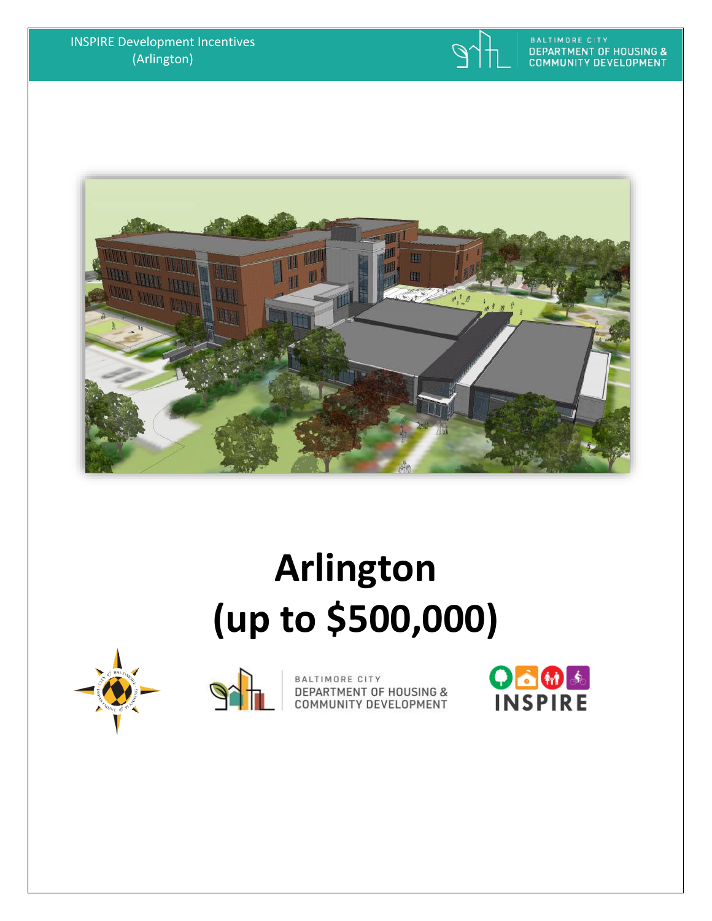





# **Arlington (up to \$500,000)**





BALTIMORE CITY<br>DEPARTMENT OF HOUSING &<br>COMMUNITY DEVELOPMENT

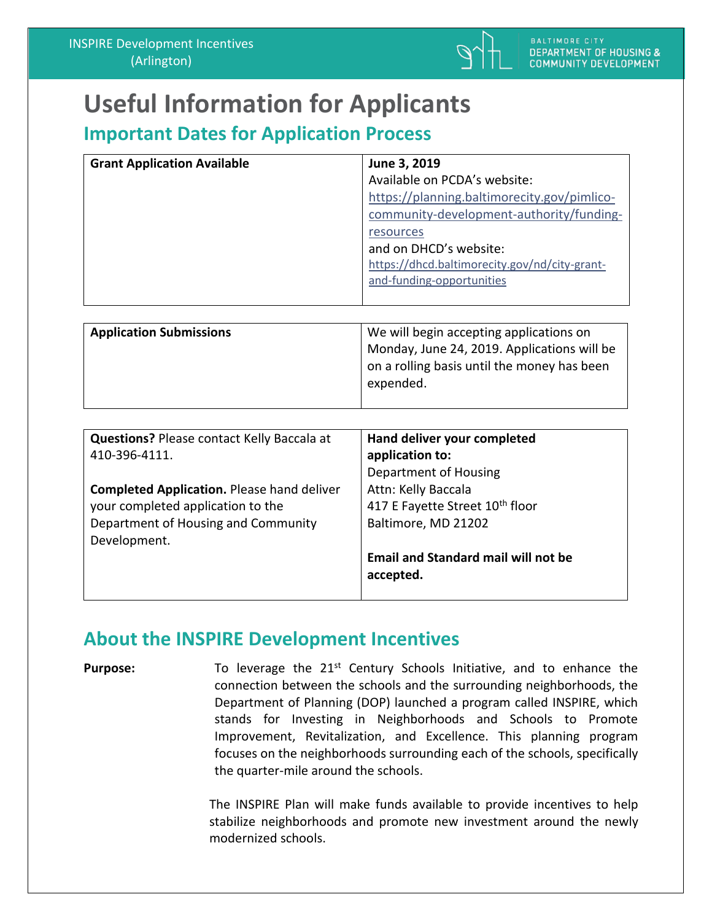

on a rolling basis until the money has been

# **Useful Information for Applicants**

### **Important Dates for Application Process**

| <b>Grant Application Available</b> | June 3, 2019                                  |
|------------------------------------|-----------------------------------------------|
|                                    | Available on PCDA's website:                  |
|                                    | https://planning.baltimorecity.gov/pimlico-   |
|                                    | community-development-authority/funding-      |
|                                    | resources                                     |
|                                    | and on DHCD's website:                        |
|                                    | https://dhcd.baltimorecity.gov/nd/city-grant- |
|                                    | and-funding-opportunities                     |
|                                    |                                               |
|                                    |                                               |
| <b>Application Submissions</b>     | We will begin accepting applications on       |
|                                    | Monday, June 24, 2019. Applications will be   |

expended.

| <b>Questions? Please contact Kelly Baccala at</b> | Hand deliver your completed                |
|---------------------------------------------------|--------------------------------------------|
| 410-396-4111.                                     | application to:                            |
|                                                   | Department of Housing                      |
| <b>Completed Application. Please hand deliver</b> | Attn: Kelly Baccala                        |
| your completed application to the                 | 417 E Fayette Street 10th floor            |
| Department of Housing and Community               | Baltimore, MD 21202                        |
| Development.                                      |                                            |
|                                                   | <b>Email and Standard mail will not be</b> |
|                                                   | accepted.                                  |
|                                                   |                                            |

#### **About the INSPIRE Development Incentives**

**Purpose:** To leverage the 21<sup>st</sup> Century Schools Initiative, and to enhance the connection between the schools and the surrounding neighborhoods, the Department of Planning (DOP) launched a program called INSPIRE, which stands for Investing in Neighborhoods and Schools to Promote Improvement, Revitalization, and Excellence. This planning program focuses on the neighborhoods surrounding each of the schools, specifically the quarter-mile around the schools.

> The INSPIRE Plan will make funds available to provide incentives to help stabilize neighborhoods and promote new investment around the newly modernized schools.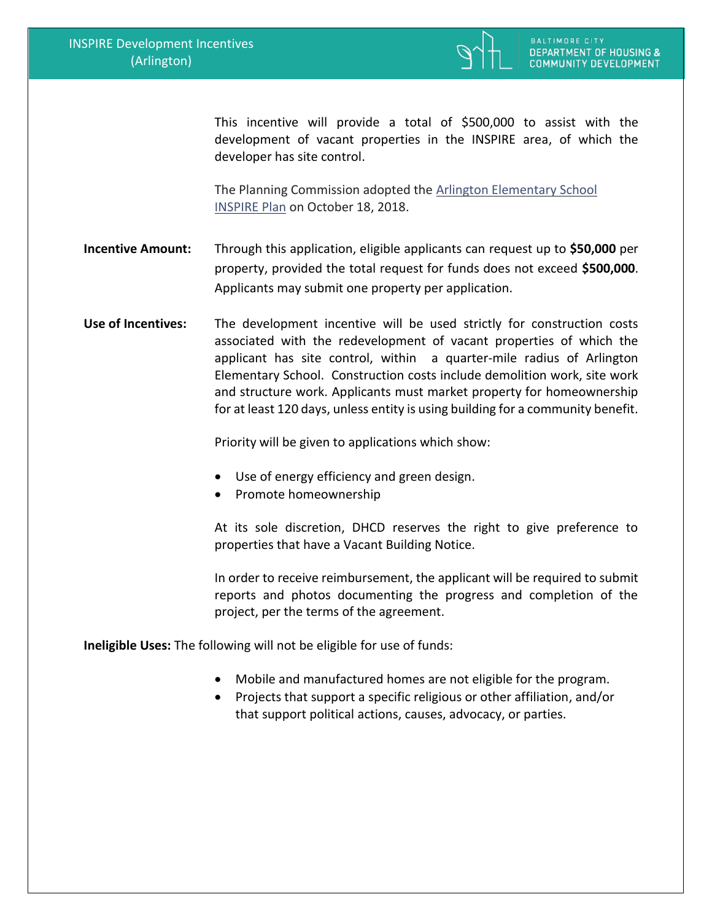

This incentive will provide a total of \$500,000 to assist with the development of vacant properties in the INSPIRE area, of which the developer has site control.

The Planning Commission adopted the [Arlington Elementary School](https://planning.baltimorecity.gov/inspire-plans/arlington-elementary-school)  [INSPIRE Plan](https://planning.baltimorecity.gov/inspire-plans/arlington-elementary-school) on October 18, 2018.

**Incentive Amount:** Through this application, eligible applicants can request up to **\$50,000** per property, provided the total request for funds does not exceed **\$500,000**. Applicants may submit one property per application.

**Use of Incentives:** The development incentive will be used strictly for construction costs associated with the redevelopment of vacant properties of which the applicant has site control, within a quarter-mile radius of Arlington Elementary School. Construction costs include demolition work, site work and structure work. Applicants must market property for homeownership for at least 120 days, unless entity is using building for a community benefit.

Priority will be given to applications which show:

- Use of energy efficiency and green design.
- Promote homeownership

At its sole discretion, DHCD reserves the right to give preference to properties that have a Vacant Building Notice.

In order to receive reimbursement, the applicant will be required to submit reports and photos documenting the progress and completion of the project, per the terms of the agreement.

**Ineligible Uses:** The following will not be eligible for use of funds:

- Mobile and manufactured homes are not eligible for the program.
- Projects that support a specific religious or other affiliation, and/or that support political actions, causes, advocacy, or parties.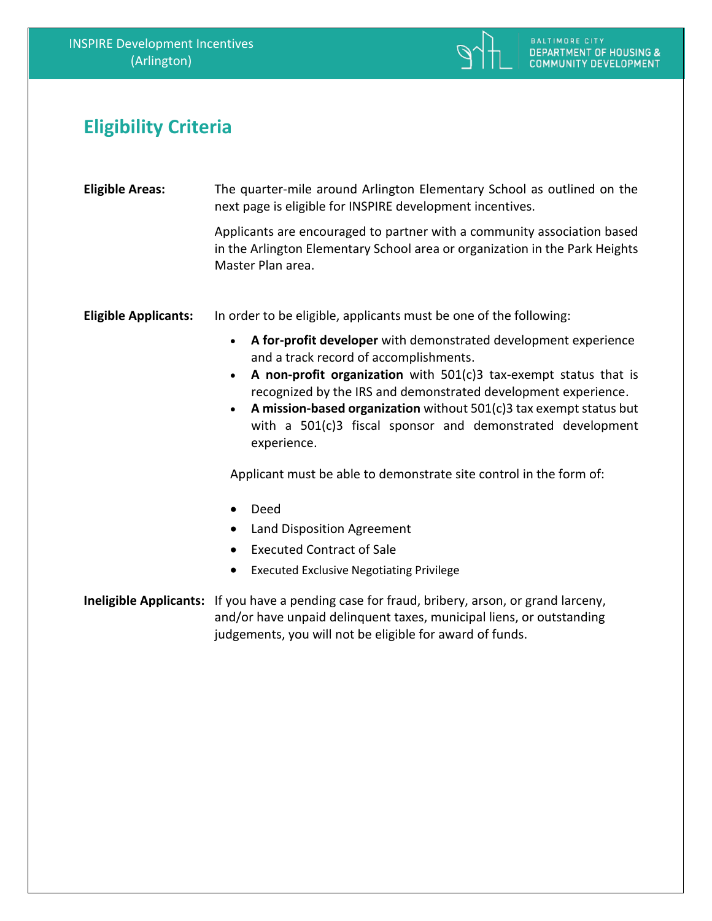

## **Eligibility Criteria**

| <b>Eligible Areas:</b>      | The quarter-mile around Arlington Elementary School as outlined on the<br>next page is eligible for INSPIRE development incentives.                                                                                                                                                                                                                                                                                                                                                                  |  |
|-----------------------------|------------------------------------------------------------------------------------------------------------------------------------------------------------------------------------------------------------------------------------------------------------------------------------------------------------------------------------------------------------------------------------------------------------------------------------------------------------------------------------------------------|--|
|                             | Applicants are encouraged to partner with a community association based<br>in the Arlington Elementary School area or organization in the Park Heights<br>Master Plan area.                                                                                                                                                                                                                                                                                                                          |  |
| <b>Eligible Applicants:</b> | In order to be eligible, applicants must be one of the following:                                                                                                                                                                                                                                                                                                                                                                                                                                    |  |
|                             | A for-profit developer with demonstrated development experience<br>$\bullet$<br>and a track record of accomplishments.<br>A non-profit organization with $501(c)3$ tax-exempt status that is<br>$\bullet$<br>recognized by the IRS and demonstrated development experience.<br>A mission-based organization without 501(c)3 tax exempt status but<br>with a 501(c)3 fiscal sponsor and demonstrated development<br>experience.<br>Applicant must be able to demonstrate site control in the form of: |  |
|                             | Deed                                                                                                                                                                                                                                                                                                                                                                                                                                                                                                 |  |
|                             | Land Disposition Agreement<br>$\bullet$                                                                                                                                                                                                                                                                                                                                                                                                                                                              |  |
|                             | <b>Executed Contract of Sale</b><br>$\bullet$                                                                                                                                                                                                                                                                                                                                                                                                                                                        |  |
|                             | <b>Executed Exclusive Negotiating Privilege</b><br>$\bullet$                                                                                                                                                                                                                                                                                                                                                                                                                                         |  |
|                             | Ineligible Applicants: If you have a pending case for fraud, bribery, arson, or grand larceny,<br>and/or have unpaid delinquent taxes, municipal liens, or outstanding<br>judgements, you will not be eligible for award of funds.                                                                                                                                                                                                                                                                   |  |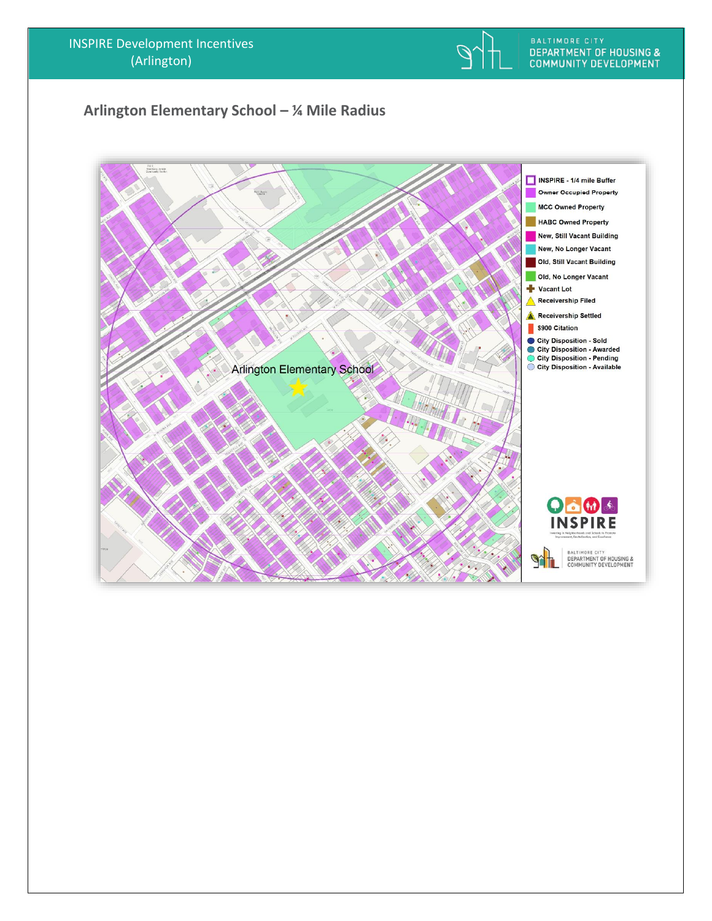

#### **Arlington Elementary School – ¼ Mile Radius**

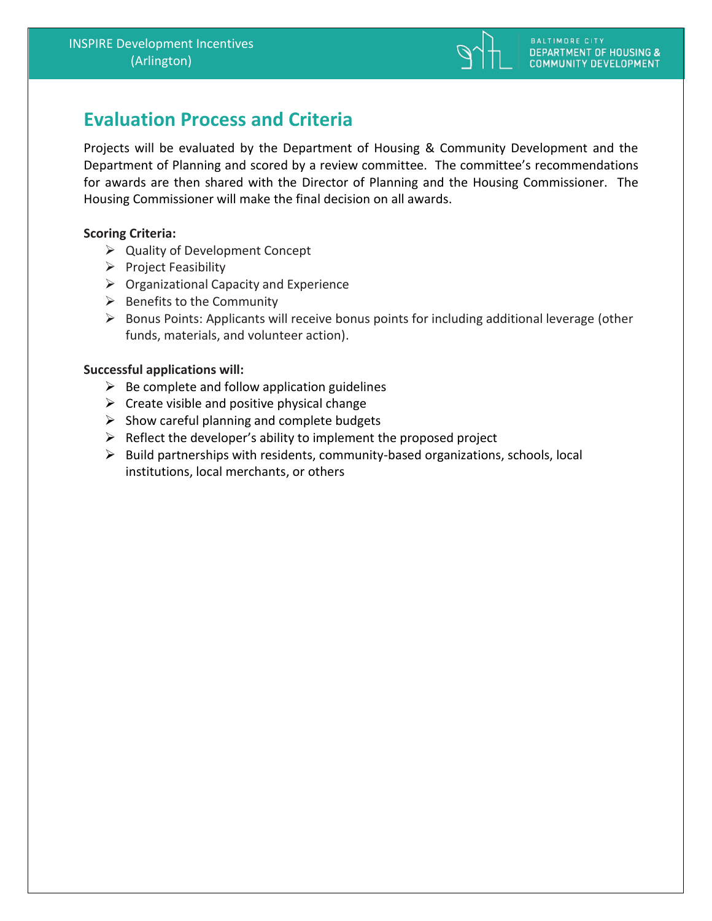

## **Evaluation Process and Criteria**

Projects will be evaluated by the Department of Housing & Community Development and the Department of Planning and scored by a review committee. The committee's recommendations for awards are then shared with the Director of Planning and the Housing Commissioner. The Housing Commissioner will make the final decision on all awards.

#### **Scoring Criteria:**

- ➢ Quality of Development Concept
- $\triangleright$  Project Feasibility
- $\triangleright$  Organizational Capacity and Experience
- $\triangleright$  Benefits to the Community
- ➢ Bonus Points: Applicants will receive bonus points for including additional leverage (other funds, materials, and volunteer action).

#### **Successful applications will:**

- $\triangleright$  Be complete and follow application guidelines
- $\triangleright$  Create visible and positive physical change
- $\triangleright$  Show careful planning and complete budgets
- $\triangleright$  Reflect the developer's ability to implement the proposed project
- ➢ Build partnerships with residents, community-based organizations, schools, local institutions, local merchants, or others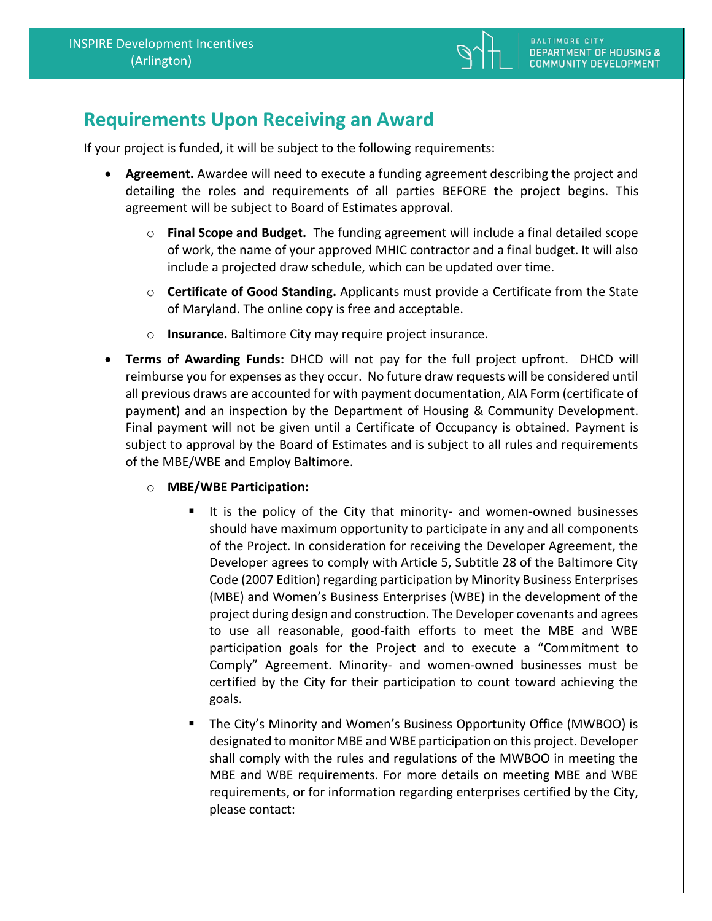

## **Requirements Upon Receiving an Award**

If your project is funded, it will be subject to the following requirements:

- **Agreement.** Awardee will need to execute a funding agreement describing the project and detailing the roles and requirements of all parties BEFORE the project begins. This agreement will be subject to Board of Estimates approval.
	- o **Final Scope and Budget.** The funding agreement will include a final detailed scope of work, the name of your approved MHIC contractor and a final budget. It will also include a projected draw schedule, which can be updated over time.
	- o **Certificate of Good Standing.** Applicants must provide a Certificate from the State of Maryland. The online copy is free and acceptable.
	- o **Insurance.** Baltimore City may require project insurance.
- **Terms of Awarding Funds:** DHCD will not pay for the full project upfront. DHCD will reimburse you for expenses as they occur. No future draw requests will be considered until all previous draws are accounted for with payment documentation, AIA Form (certificate of payment) and an inspection by the Department of Housing & Community Development. Final payment will not be given until a Certificate of Occupancy is obtained. Payment is subject to approval by the Board of Estimates and is subject to all rules and requirements of the MBE/WBE and Employ Baltimore.
	- o **MBE/WBE Participation:** 
		- It is the policy of the City that minority- and women-owned businesses should have maximum opportunity to participate in any and all components of the Project. In consideration for receiving the Developer Agreement, the Developer agrees to comply with Article 5, Subtitle 28 of the Baltimore City Code (2007 Edition) regarding participation by Minority Business Enterprises (MBE) and Women's Business Enterprises (WBE) in the development of the project during design and construction. The Developer covenants and agrees to use all reasonable, good-faith efforts to meet the MBE and WBE participation goals for the Project and to execute a "Commitment to Comply" Agreement. Minority- and women-owned businesses must be certified by the City for their participation to count toward achieving the goals.
		- The City's Minority and Women's Business Opportunity Office (MWBOO) is designated to monitor MBE and WBE participation on this project. Developer shall comply with the rules and regulations of the MWBOO in meeting the MBE and WBE requirements. For more details on meeting MBE and WBE requirements, or for information regarding enterprises certified by the City, please contact: